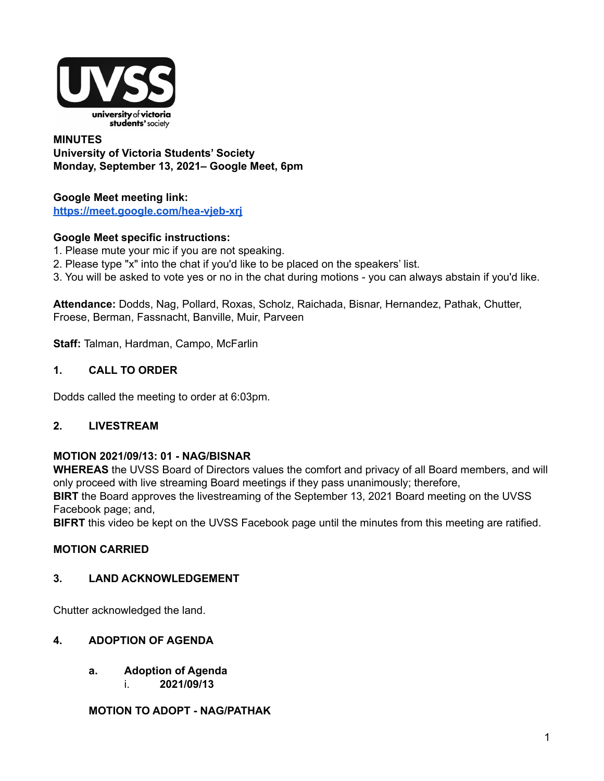

### **MINUTES University of Victoria Students' Society Monday, September 13, 2021– Google Meet, 6pm**

#### **Google Meet meeting link: <https://meet.google.com/hea-vjeb-xrj>**

### **Google Meet specific instructions:**

- 1. Please mute your mic if you are not speaking.
- 2. Please type "x" into the chat if you'd like to be placed on the speakers' list.
- 3. You will be asked to vote yes or no in the chat during motions you can always abstain if you'd like.

**Attendance:** Dodds, Nag, Pollard, Roxas, Scholz, Raichada, Bisnar, Hernandez, Pathak, Chutter, Froese, Berman, Fassnacht, Banville, Muir, Parveen

**Staff:** Talman, Hardman, Campo, McFarlin

### **1. CALL TO ORDER**

Dodds called the meeting to order at 6:03pm.

## **2. LIVESTREAM**

### **MOTION 2021/09/13: 01 - NAG/BISNAR**

**WHEREAS** the UVSS Board of Directors values the comfort and privacy of all Board members, and will only proceed with live streaming Board meetings if they pass unanimously; therefore,

**BIRT** the Board approves the livestreaming of the September 13, 2021 Board meeting on the UVSS Facebook page; and,

**BIFRT** this video be kept on the UVSS Facebook page until the minutes from this meeting are ratified.

## **MOTION CARRIED**

### **3. LAND ACKNOWLEDGEMENT**

Chutter acknowledged the land.

### **4. ADOPTION OF AGENDA**

- **a. Adoption of Agenda**
	- i. **2021/09/13**

### **MOTION TO ADOPT - NAG/PATHAK**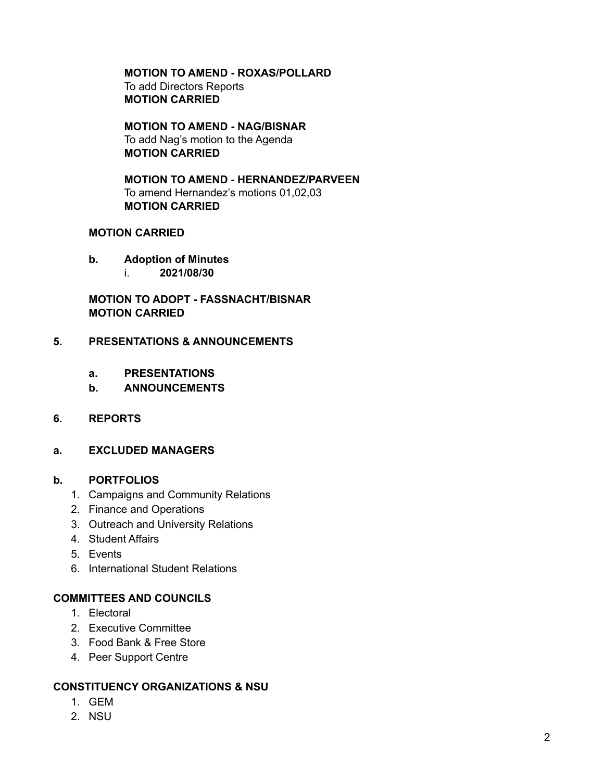**MOTION TO AMEND - ROXAS/POLLARD** To add Directors Reports **MOTION CARRIED**

**MOTION TO AMEND - NAG/BISNAR** To add Nag's motion to the Agenda **MOTION CARRIED**

**MOTION TO AMEND - HERNANDEZ/PARVEEN** To amend Hernandez's motions 01,02,03 **MOTION CARRIED**

### **MOTION CARRIED**

- **b. Adoption of Minutes**
	- i. **2021/08/30**

**MOTION TO ADOPT - FASSNACHT/BISNAR MOTION CARRIED**

### **5. PRESENTATIONS & ANNOUNCEMENTS**

- **a. PRESENTATIONS**
- **b. ANNOUNCEMENTS**
- **6. REPORTS**
- **a. EXCLUDED MANAGERS**

### **b. PORTFOLIOS**

- 1. Campaigns and Community Relations
- 2. Finance and Operations
- 3. Outreach and University Relations
- 4. Student Affairs
- 5. Events
- 6. International Student Relations

### **COMMITTEES AND COUNCILS**

- 1. Electoral
- 2. Executive Committee
- 3. Food Bank & Free Store
- 4. Peer Support Centre

#### **CONSTITUENCY ORGANIZATIONS & NSU**

- 1. GEM
- 2. NSU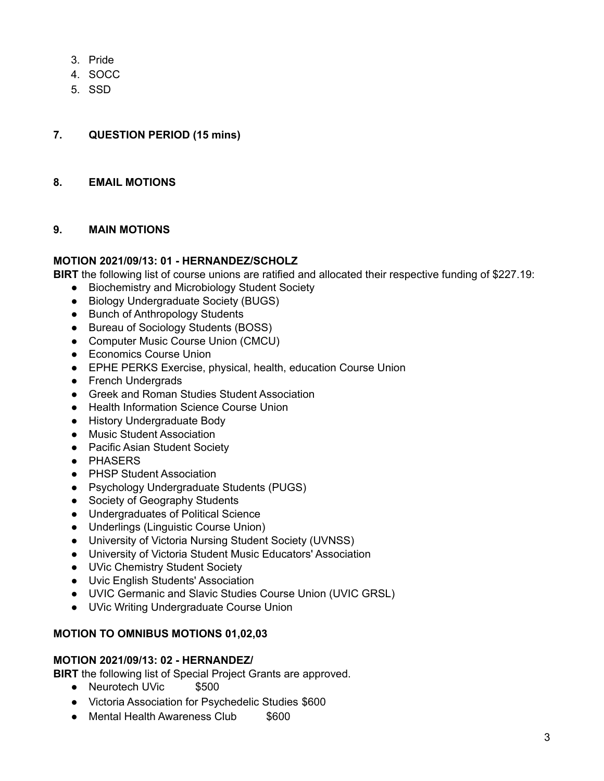- 3. Pride
- 4. SOCC
- 5. SSD

### **7. QUESTION PERIOD (15 mins)**

#### **8. EMAIL MOTIONS**

#### **9. MAIN MOTIONS**

#### **MOTION 2021/09/13: 01 - HERNANDEZ/SCHOLZ**

**BIRT** the following list of course unions are ratified and allocated their respective funding of \$227.19:

- Biochemistry and Microbiology Student Society
- Biology Undergraduate Society (BUGS)
- Bunch of Anthropology Students
- Bureau of Sociology Students (BOSS)
- Computer Music Course Union (CMCU)
- Economics Course Union
- EPHE PERKS Exercise, physical, health, education Course Union
- French Undergrads
- Greek and Roman Studies Student Association
- Health Information Science Course Union
- History Undergraduate Body
- Music Student Association
- Pacific Asian Student Society
- PHASERS
- PHSP Student Association
- Psychology Undergraduate Students (PUGS)
- Society of Geography Students
- Undergraduates of Political Science
- Underlings (Linguistic Course Union)
- University of Victoria Nursing Student Society (UVNSS)
- University of Victoria Student Music Educators' Association
- UVic Chemistry Student Society
- Uvic English Students' Association
- UVIC Germanic and Slavic Studies Course Union (UVIC GRSL)
- UVic Writing Undergraduate Course Union

### **MOTION TO OMNIBUS MOTIONS 01,02,03**

#### **MOTION 2021/09/13: 02 - HERNANDEZ/**

**BIRT** the following list of Special Project Grants are approved.

- Neurotech UVic \$500
- Victoria Association for Psychedelic Studies \$600
- Mental Health Awareness Club \$600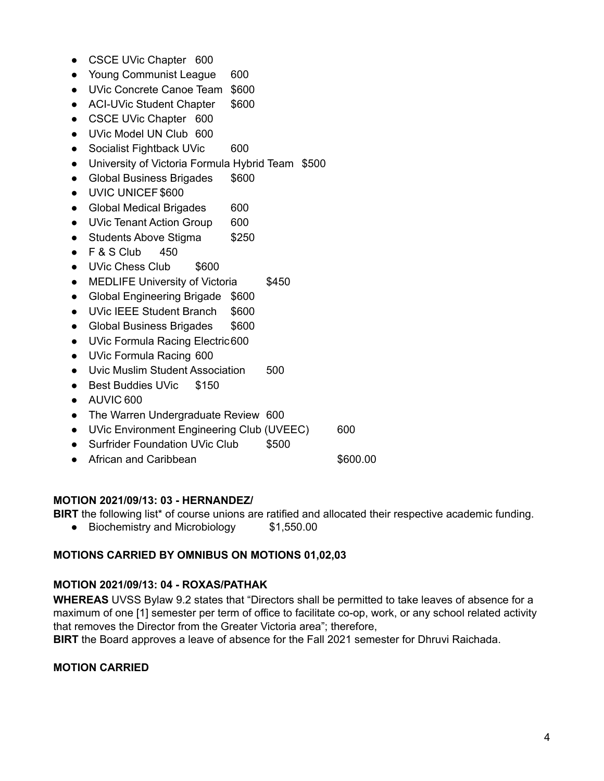- CSCE UVic Chapter 600
- Young Communist League 600
- UVic Concrete Canoe Team \$600
- ACI-UVic Student Chapter \$600
- CSCE UVic Chapter 600
- UVic Model UN Club 600
- Socialist Fightback UVic 600
- University of Victoria Formula Hybrid Team \$500
- Global Business Brigades \$600
- UVIC UNICEF \$600
- Global Medical Brigades 600
- UVic Tenant Action Group 600
- Students Above Stigma \$250
- $\bullet$  F & S Club 450
- UVic Chess Club \$600
- MEDLIFE University of Victoria \$450
- Global Engineering Brigade \$600
- UVic IEEE Student Branch \$600
- Global Business Brigades \$600
- UVic Formula Racing Electric600
- UVic Formula Racing 600
- Uvic Muslim Student Association 500
- Best Buddies UVic \$150
- AUVIC 600
- The Warren Undergraduate Review 600
- UVic Environment Engineering Club (UVEEC) 600
- Surfrider Foundation UVic Club \$500
- African and Caribbean **\$600.00**

## **MOTION 2021/09/13: 03 - HERNANDEZ/**

**BIRT** the following list\* of course unions are ratified and allocated their respective academic funding.

● Biochemistry and Microbiology \$1,550.00

## **MOTIONS CARRIED BY OMNIBUS ON MOTIONS 01,02,03**

## **MOTION 2021/09/13: 04 - ROXAS/PATHAK**

**WHEREAS** UVSS Bylaw 9.2 states that "Directors shall be permitted to take leaves of absence for a maximum of one [1] semester per term of office to facilitate co-op, work, or any school related activity that removes the Director from the Greater Victoria area"; therefore,

**BIRT** the Board approves a leave of absence for the Fall 2021 semester for Dhruvi Raichada.

## **MOTION CARRIED**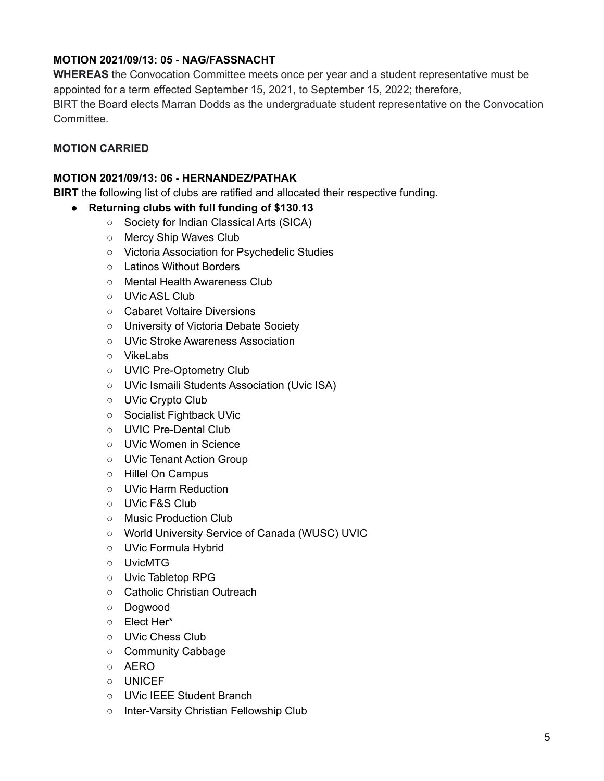## **MOTION 2021/09/13: 05 - NAG/FASSNACHT**

**WHEREAS** the Convocation Committee meets once per year and a student representative must be appointed for a term effected September 15, 2021, to September 15, 2022; therefore, BIRT the Board elects Marran Dodds as the undergraduate student representative on the Convocation Committee.

## **MOTION CARRIED**

#### **MOTION 2021/09/13: 06 - HERNANDEZ/PATHAK**

**BIRT** the following list of clubs are ratified and allocated their respective funding.

- **● Returning clubs with full funding of \$130.13**
	- Society for Indian Classical Arts (SICA)
	- Mercy Ship Waves Club
	- Victoria Association for Psychedelic Studies
	- Latinos Without Borders
	- Mental Health Awareness Club
	- UVic ASL Club
	- Cabaret Voltaire Diversions
	- University of Victoria Debate Society
	- UVic Stroke Awareness Association
	- VikeLabs
	- UVIC Pre-Optometry Club
	- UVic Ismaili Students Association (Uvic ISA)
	- UVic Crypto Club
	- Socialist Fightback UVic
	- UVIC Pre-Dental Club
	- UVic Women in Science
	- UVic Tenant Action Group
	- Hillel On Campus
	- UVic Harm Reduction
	- UVic F&S Club
	- Music Production Club
	- World University Service of Canada (WUSC) UVIC
	- UVic Formula Hybrid
	- UvicMTG
	- Uvic Tabletop RPG
	- Catholic Christian Outreach
	- Dogwood
	- Elect Her\*
	- UVic Chess Club
	- Community Cabbage
	- AERO
	- UNICEF
	- UVic IEEE Student Branch
	- Inter-Varsity Christian Fellowship Club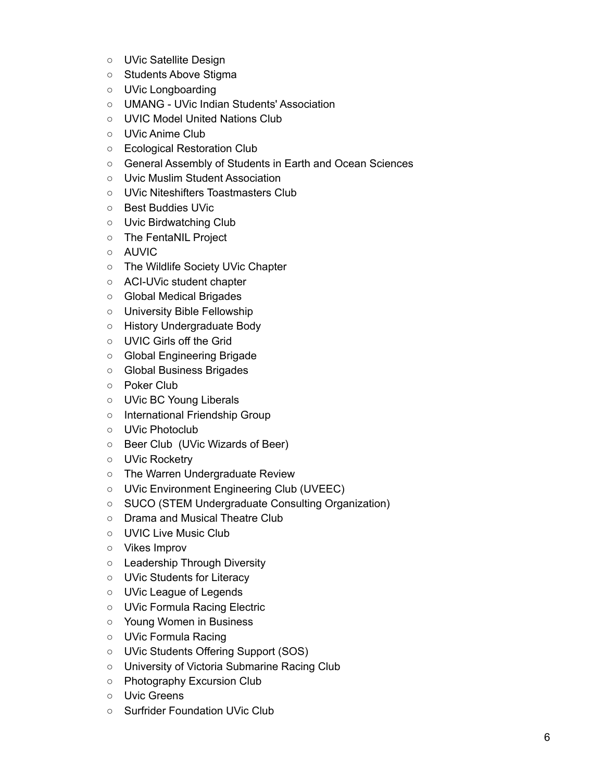- UVic Satellite Design
- Students Above Stigma
- UVic Longboarding
- UMANG UVic Indian Students' Association
- UVIC Model United Nations Club
- UVic Anime Club
- Ecological Restoration Club
- General Assembly of Students in Earth and Ocean Sciences
- Uvic Muslim Student Association
- UVic Niteshifters Toastmasters Club
- Best Buddies UVic
- Uvic Birdwatching Club
- The FentaNIL Project
- AUVIC
- The Wildlife Society UVic Chapter
- ACI-UVic student chapter
- Global Medical Brigades
- University Bible Fellowship
- History Undergraduate Body
- UVIC Girls off the Grid
- Global Engineering Brigade
- Global Business Brigades
- Poker Club
- UVic BC Young Liberals
- International Friendship Group
- UVic Photoclub
- Beer Club (UVic Wizards of Beer)
- UVic Rocketry
- The Warren Undergraduate Review
- UVic Environment Engineering Club (UVEEC)
- SUCO (STEM Undergraduate Consulting Organization)
- Drama and Musical Theatre Club
- UVIC Live Music Club
- Vikes Improv
- Leadership Through Diversity
- UVic Students for Literacy
- UVic League of Legends
- UVic Formula Racing Electric
- Young Women in Business
- UVic Formula Racing
- UVic Students Offering Support (SOS)
- University of Victoria Submarine Racing Club
- Photography Excursion Club
- Uvic Greens
- Surfrider Foundation UVic Club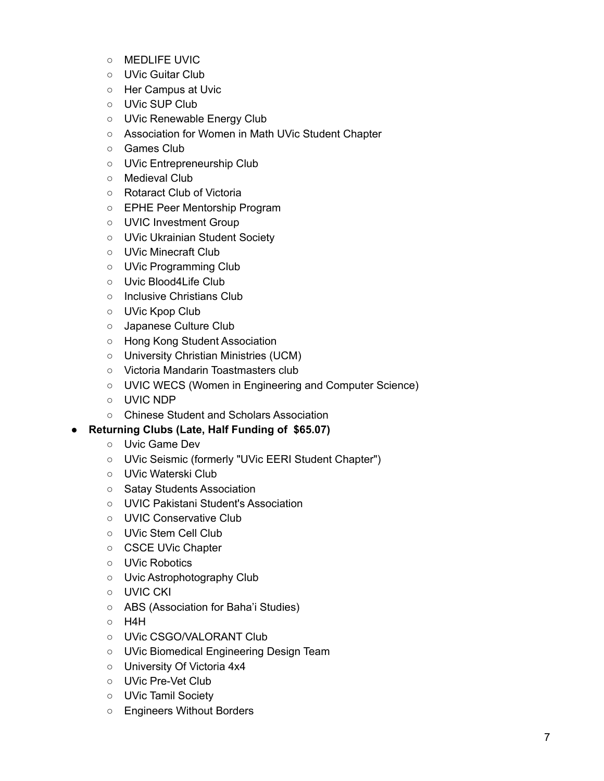- MEDLIFE UVIC
- UVic Guitar Club
- Her Campus at Uvic
- UVic SUP Club
- UVic Renewable Energy Club
- Association for Women in Math UVic Student Chapter
- Games Club
- UVic Entrepreneurship Club
- Medieval Club
- Rotaract Club of Victoria
- EPHE Peer Mentorship Program
- UVIC Investment Group
- UVic Ukrainian Student Society
- UVic Minecraft Club
- UVic Programming Club
- Uvic Blood4Life Club
- Inclusive Christians Club
- UVic Kpop Club
- Japanese Culture Club
- Hong Kong Student Association
- University Christian Ministries (UCM)
- Victoria Mandarin Toastmasters club
- UVIC WECS (Women in Engineering and Computer Science)
- UVIC NDP
- Chinese Student and Scholars Association
- **● Returning Clubs (Late, Half Funding of \$65.07)**
	- Uvic Game Dev
	- UVic Seismic (formerly "UVic EERI Student Chapter")
	- UVic Waterski Club
	- Satay Students Association
	- UVIC Pakistani Student's Association
	- UVIC Conservative Club
	- UVic Stem Cell Club
	- CSCE UVic Chapter
	- UVic Robotics
	- Uvic Astrophotography Club
	- UVIC CKI
	- ABS (Association for Baha'i Studies)
	- H4H
	- UVic CSGO/VALORANT Club
	- UVic Biomedical Engineering Design Team
	- University Of Victoria 4x4
	- UVic Pre-Vet Club
	- UVic Tamil Society
	- Engineers Without Borders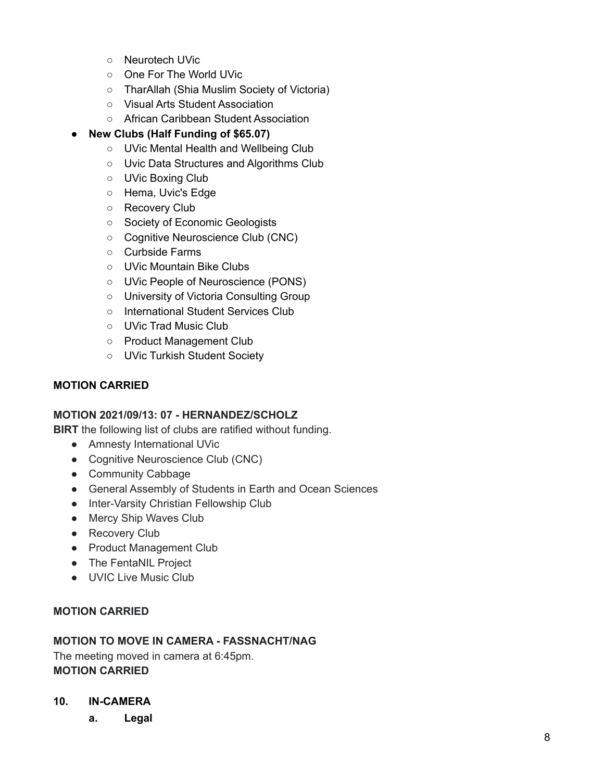- Neurotech UVic
- One For The World UVic
- TharAllah (Shia Muslim Society of Victoria)
- Visual Arts Student Association
- African Caribbean Student Association

## **● New Clubs (Half Funding of \$65.07)**

- UVic Mental Health and Wellbeing Club
- Uvic Data Structures and Algorithms Club
- UVic Boxing Club
- Hema, Uvic's Edge
- Recovery Club
- Society of Economic Geologists
- Cognitive Neuroscience Club (CNC)
- Curbside Farms
- UVic Mountain Bike Clubs
- UVic People of Neuroscience (PONS)
- University of Victoria Consulting Group
- International Student Services Club
- UVic Trad Music Club
- Product Management Club
- UVic Turkish Student Society

### **MOTION CARRIED**

### **MOTION 2021/09/13: 07 - HERNANDEZ/SCHOLZ**

**BIRT** the following list of clubs are ratified without funding.

- Amnesty International UVic
- Cognitive Neuroscience Club (CNC)
- Community Cabbage
- General Assembly of Students in Earth and Ocean Sciences
- Inter-Varsity Christian Fellowship Club
- Mercy Ship Waves Club
- Recovery Club
- Product Management Club
- The FentaNIL Project
- UVIC Live Music Club

### **MOTION CARRIED**

### **MOTION TO MOVE IN CAMERA - FASSNACHT/NAG**

The meeting moved in camera at 6:45pm. **MOTION CARRIED**

- **10. IN-CAMERA**
	- **a. Legal**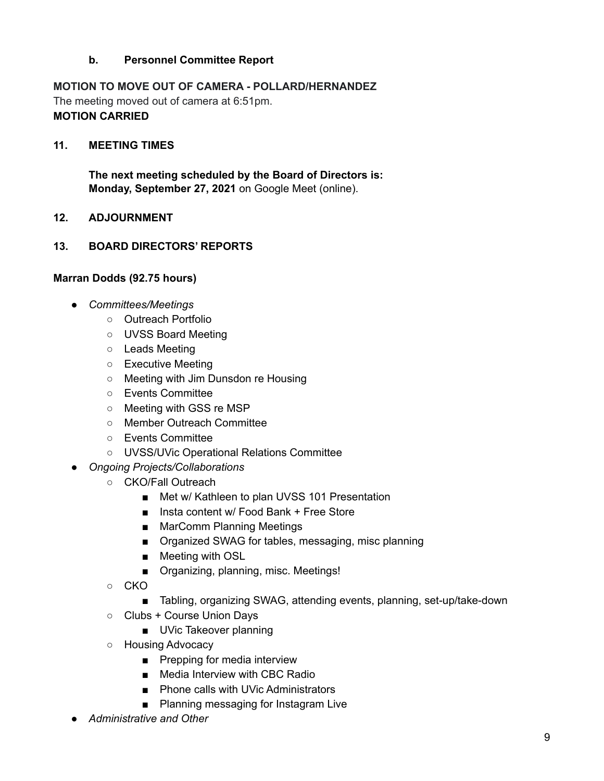## **b. Personnel Committee Report**

# **MOTION TO MOVE OUT OF CAMERA - POLLARD/HERNANDEZ**

The meeting moved out of camera at 6:51pm. **MOTION CARRIED**

### **11. MEETING TIMES**

**The next meeting scheduled by the Board of Directors is: Monday, September 27, 2021** on Google Meet (online).

### **12. ADJOURNMENT**

## **13. BOARD DIRECTORS' REPORTS**

### **Marran Dodds (92.75 hours)**

- *Committees/Meetings*
	- Outreach Portfolio
	- UVSS Board Meeting
	- Leads Meeting
	- Executive Meeting
	- Meeting with Jim Dunsdon re Housing
	- Events Committee
	- Meeting with GSS re MSP
	- Member Outreach Committee
	- Events Committee
	- UVSS/UVic Operational Relations Committee
- *Ongoing Projects/Collaborations*
	- CKO/Fall Outreach
		- Met w/ Kathleen to plan UVSS 101 Presentation
		- Insta content w/ Food Bank + Free Store
		- MarComm Planning Meetings
		- Organized SWAG for tables, messaging, misc planning
		- Meeting with OSL
		- Organizing, planning, misc. Meetings!
	- CKO
		- Tabling, organizing SWAG, attending events, planning, set-up/take-down
	- Clubs + Course Union Days
		- UVic Takeover planning
	- Housing Advocacy
		- Prepping for media interview
		- Media Interview with CBC Radio
		- Phone calls with UVic Administrators
		- Planning messaging for Instagram Live
- *Administrative and Other*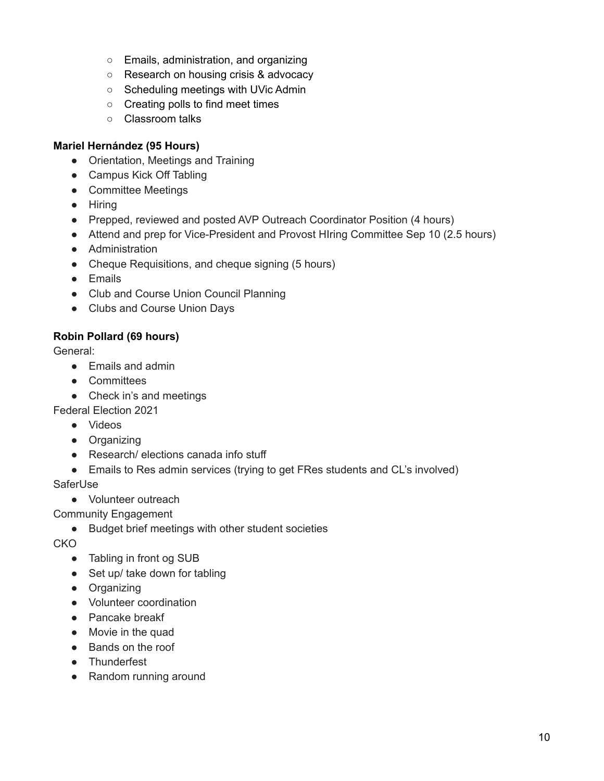- Emails, administration, and organizing
- Research on housing crisis & advocacy
- Scheduling meetings with UVic Admin
- Creating polls to find meet times
- Classroom talks

## **Mariel Hernández (95 Hours)**

- Orientation, Meetings and Training
- Campus Kick Off Tabling
- Committee Meetings
- Hiring
- Prepped, reviewed and posted AVP Outreach Coordinator Position (4 hours)
- Attend and prep for Vice-President and Provost HIring Committee Sep 10 (2.5 hours)
- Administration
- Cheque Requisitions, and cheque signing (5 hours)
- Emails
- Club and Course Union Council Planning
- Clubs and Course Union Days

# **Robin Pollard (69 hours)**

General:

- Emails and admin
- Committees
- Check in's and meetings

Federal Election 2021

- Videos
- Organizing
- Research/ elections canada info stuff
- Emails to Res admin services (trying to get FRes students and CL's involved)

**SaferUse** 

● Volunteer outreach

Community Engagement

● Budget brief meetings with other student societies

CKO

- Tabling in front og SUB
- Set up/ take down for tabling
- Organizing
- Volunteer coordination
- Pancake breakf
- Movie in the quad
- Bands on the roof
- Thunderfest
- Random running around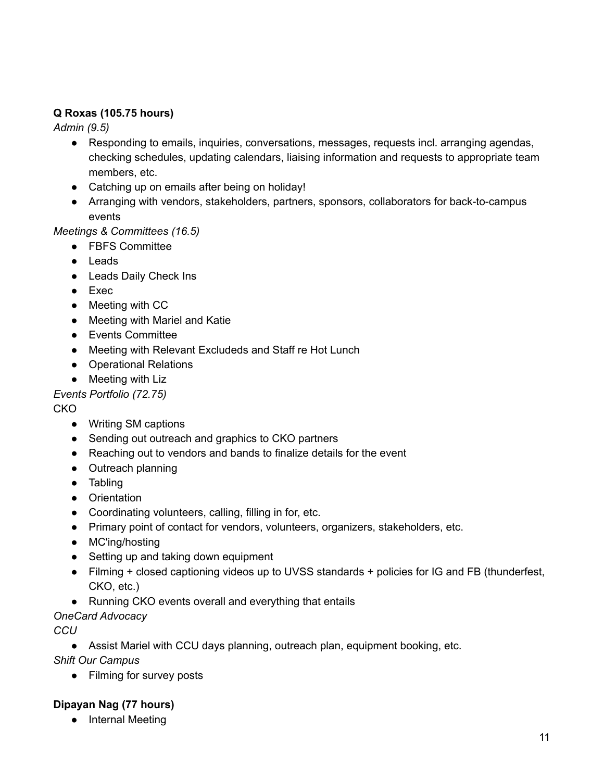# **Q Roxas (105.75 hours)**

*Admin (9.5)*

- Responding to emails, inquiries, conversations, messages, requests incl. arranging agendas, checking schedules, updating calendars, liaising information and requests to appropriate team members, etc.
- Catching up on emails after being on holiday!
- Arranging with vendors, stakeholders, partners, sponsors, collaborators for back-to-campus events

## *Meetings & Committees (16.5)*

- FBFS Committee
- Leads
- Leads Daily Check Ins
- Exec
- Meeting with CC
- Meeting with Mariel and Katie
- Events Committee
- Meeting with Relevant Excludeds and Staff re Hot Lunch
- Operational Relations
- Meeting with Liz

*Events Portfolio (72.75)*

CKO

- Writing SM captions
- Sending out outreach and graphics to CKO partners
- Reaching out to vendors and bands to finalize details for the event
- Outreach planning
- Tabling
- Orientation
- Coordinating volunteers, calling, filling in for, etc.
- Primary point of contact for vendors, volunteers, organizers, stakeholders, etc.
- MC'ing/hosting
- Setting up and taking down equipment
- Filming + closed captioning videos up to UVSS standards + policies for IG and FB (thunderfest, CKO, etc.)
- Running CKO events overall and everything that entails
- *OneCard Advocacy*

*CCU*

● Assist Mariel with CCU days planning, outreach plan, equipment booking, etc.

*Shift Our Campus*

● Filming for survey posts

# **Dipayan Nag (77 hours)**

● Internal Meeting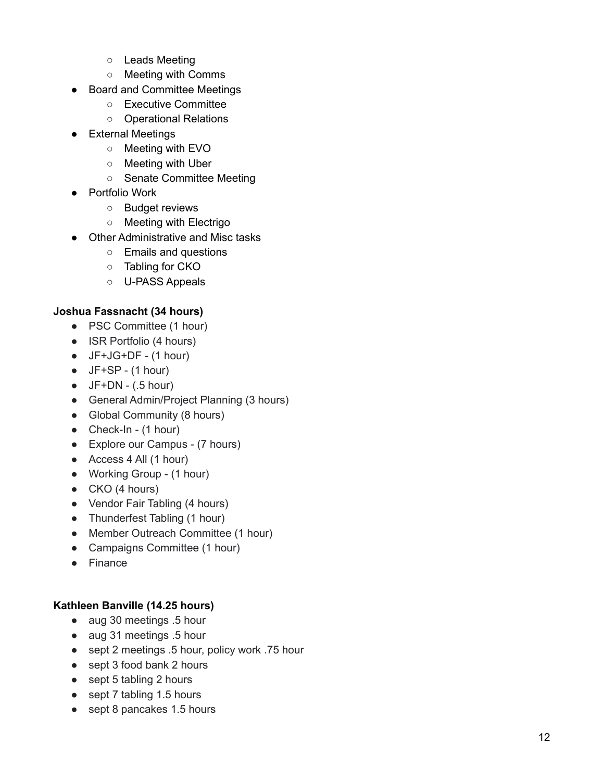- o Leads Meeting
- Meeting with Comms
- Board and Committee Meetings
	- Executive Committee
	- Operational Relations
- External Meetings
	- Meeting with EVO
	- Meeting with Uber
	- o Senate Committee Meeting
- Portfolio Work
	- o Budget reviews
	- Meeting with Electrigo
- Other Administrative and Misc tasks
	- Emails and questions
	- Tabling for CKO
	- U-PASS Appeals

### **Joshua Fassnacht (34 hours)**

- PSC Committee (1 hour)
- ISR Portfolio (4 hours)
- $\bullet$  JF+JG+DF (1 hour)
- $\bullet$  JF+SP (1 hour)
- $\bullet$  JF+DN (.5 hour)
- General Admin/Project Planning (3 hours)
- Global Community (8 hours)
- Check-In  $(1 hour)$
- Explore our Campus (7 hours)
- Access 4 All (1 hour)
- Working Group (1 hour)
- $\bullet$  CKO (4 hours)
- Vendor Fair Tabling (4 hours)
- Thunderfest Tabling (1 hour)
- Member Outreach Committee (1 hour)
- Campaigns Committee (1 hour)
- Finance

### Kathleen Banville (14.25 hours)

- aug 30 meetings .5 hour
- aug 31 meetings .5 hour
- sept 2 meetings .5 hour, policy work .75 hour
- sept 3 food bank 2 hours
- sept 5 tabling 2 hours
- sept 7 tabling 1.5 hours
- sept 8 pancakes 1.5 hours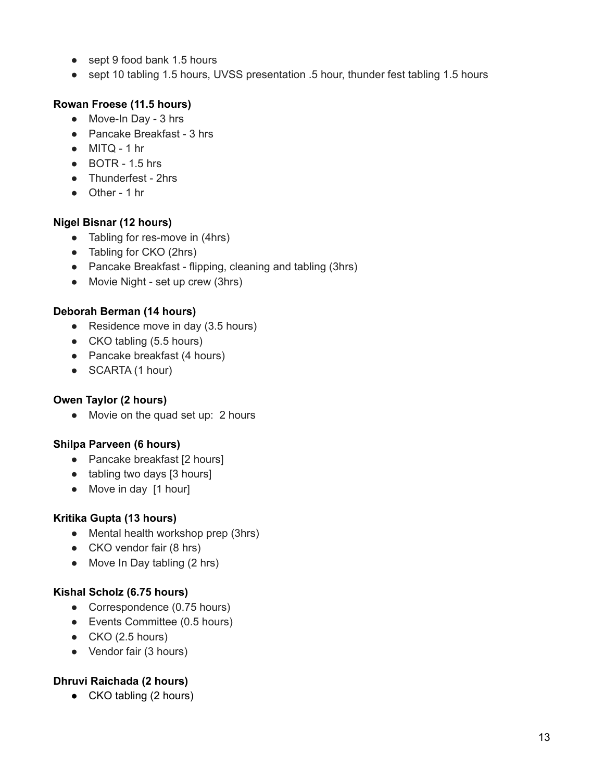- sept 9 food bank 1.5 hours
- sept 10 tabling 1.5 hours, UVSS presentation .5 hour, thunder fest tabling 1.5 hours

## **Rowan Froese (11.5 hours)**

- Move-In Day 3 hrs
- Pancake Breakfast 3 hrs
- $\bullet$  MITQ 1 hr
- $\bullet$  BOTR 1.5 hrs
- Thunderfest 2hrs
- Other 1 hr

## **Nigel Bisnar (12 hours)**

- Tabling for res-move in (4hrs)
- Tabling for CKO (2hrs)
- Pancake Breakfast flipping, cleaning and tabling (3hrs)
- Movie Night set up crew (3hrs)

## **Deborah Berman (14 hours)**

- Residence move in day (3.5 hours)
- CKO tabling (5.5 hours)
- Pancake breakfast (4 hours)
- SCARTA (1 hour)

## **Owen Taylor (2 hours)**

• Movie on the quad set up: 2 hours

## **Shilpa Parveen (6 hours)**

- Pancake breakfast [2 hours]
- tabling two days [3 hours]
- Move in day [1 hour]

# **Kritika Gupta (13 hours)**

- Mental health workshop prep (3hrs)
- CKO vendor fair (8 hrs)
- Move In Day tabling (2 hrs)

## **Kishal Scholz (6.75 hours)**

- Correspondence (0.75 hours)
- Events Committee (0.5 hours)
- $\bullet$  CKO (2.5 hours)
- Vendor fair (3 hours)

# **Dhruvi Raichada (2 hours)**

• CKO tabling (2 hours)